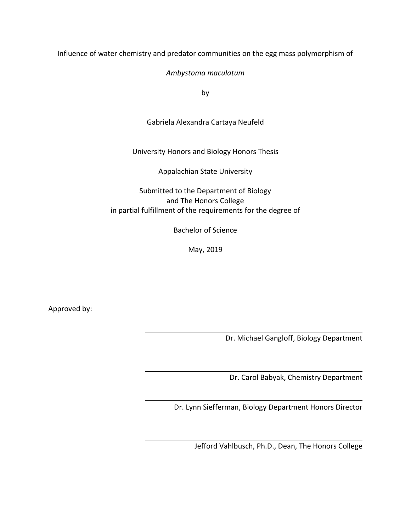Influence of water chemistry and predator communities on the egg mass polymorphism of

*Ambystoma maculatum*

by

Gabriela Alexandra Cartaya Neufeld

University Honors and Biology Honors Thesis

Appalachian State University

Submitted to the Department of Biology and The Honors College in partial fulfillment of the requirements for the degree of

Bachelor of Science

May, 2019

Approved by:

Dr. Michael Gangloff, Biology Department

Dr. Carol Babyak, Chemistry Department

Dr. Lynn Siefferman, Biology Department Honors Director

Jefford Vahlbusch, Ph.D., Dean, The Honors College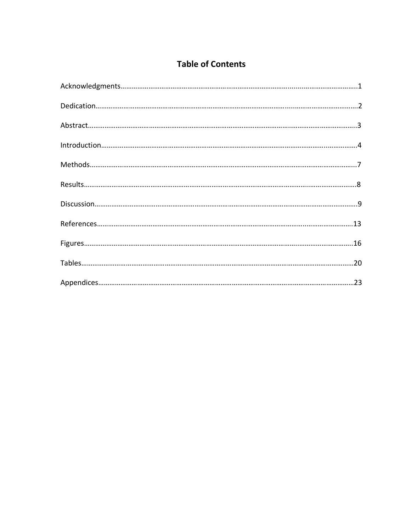# **Table of Contents**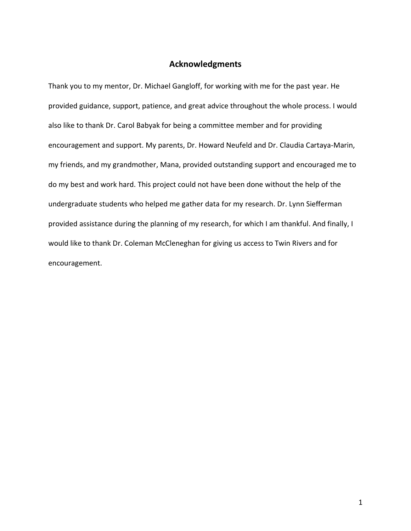### **Acknowledgments**

Thank you to my mentor, Dr. Michael Gangloff, for working with me for the past year. He provided guidance, support, patience, and great advice throughout the whole process. I would also like to thank Dr. Carol Babyak for being a committee member and for providing encouragement and support. My parents, Dr. Howard Neufeld and Dr. Claudia Cartaya-Marin, my friends, and my grandmother, Mana, provided outstanding support and encouraged me to do my best and work hard. This project could not have been done without the help of the undergraduate students who helped me gather data for my research. Dr. Lynn Siefferman provided assistance during the planning of my research, for which I am thankful. And finally, I would like to thank Dr. Coleman McCleneghan for giving us access to Twin Rivers and for encouragement.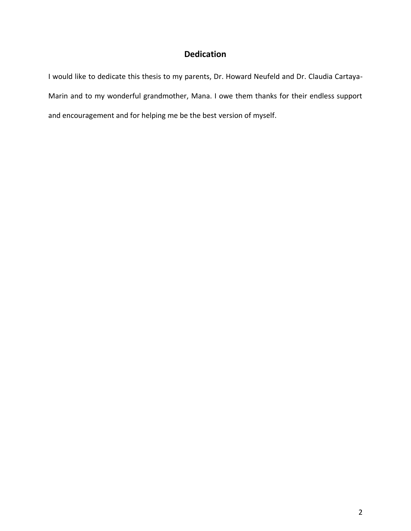# **Dedication**

I would like to dedicate this thesis to my parents, Dr. Howard Neufeld and Dr. Claudia Cartaya-Marin and to my wonderful grandmother, Mana. I owe them thanks for their endless support and encouragement and for helping me be the best version of myself.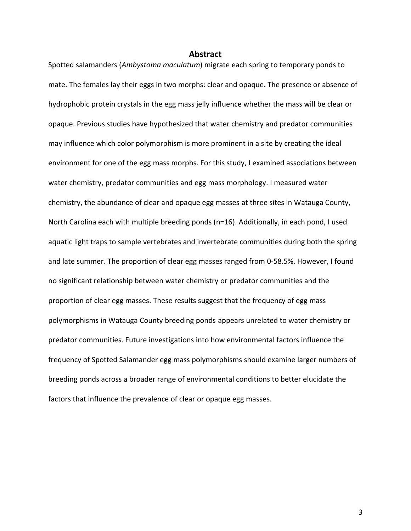#### **Abstract**

Spotted salamanders (*Ambystoma maculatum*) migrate each spring to temporary ponds to mate. The females lay their eggs in two morphs: clear and opaque. The presence or absence of hydrophobic protein crystals in the egg mass jelly influence whether the mass will be clear or opaque. Previous studies have hypothesized that water chemistry and predator communities may influence which color polymorphism is more prominent in a site by creating the ideal environment for one of the egg mass morphs. For this study, I examined associations between water chemistry, predator communities and egg mass morphology. I measured water chemistry, the abundance of clear and opaque egg masses at three sites in Watauga County, North Carolina each with multiple breeding ponds (n=16). Additionally, in each pond, I used aquatic light traps to sample vertebrates and invertebrate communities during both the spring and late summer. The proportion of clear egg masses ranged from 0-58.5%. However, I found no significant relationship between water chemistry or predator communities and the proportion of clear egg masses. These results suggest that the frequency of egg mass polymorphisms in Watauga County breeding ponds appears unrelated to water chemistry or predator communities. Future investigations into how environmental factors influence the frequency of Spotted Salamander egg mass polymorphisms should examine larger numbers of breeding ponds across a broader range of environmental conditions to better elucidate the factors that influence the prevalence of clear or opaque egg masses.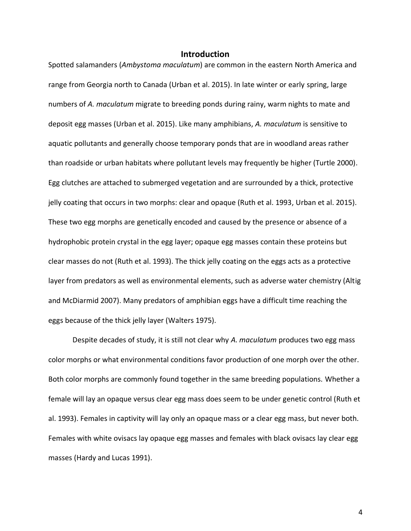#### **Introduction**

Spotted salamanders (*Ambystoma maculatum*) are common in the eastern North America and range from Georgia north to Canada (Urban et al. 2015). In late winter or early spring, large numbers of *A. maculatum* migrate to breeding ponds during rainy, warm nights to mate and deposit egg masses (Urban et al. 2015). Like many amphibians, *A. maculatum* is sensitive to aquatic pollutants and generally choose temporary ponds that are in woodland areas rather than roadside or urban habitats where pollutant levels may frequently be higher (Turtle 2000). Egg clutches are attached to submerged vegetation and are surrounded by a thick, protective jelly coating that occurs in two morphs: clear and opaque (Ruth et al. 1993, Urban et al. 2015). These two egg morphs are genetically encoded and caused by the presence or absence of a hydrophobic protein crystal in the egg layer; opaque egg masses contain these proteins but clear masses do not (Ruth et al. 1993). The thick jelly coating on the eggs acts as a protective layer from predators as well as environmental elements, such as adverse water chemistry (Altig and McDiarmid 2007). Many predators of amphibian eggs have a difficult time reaching the eggs because of the thick jelly layer (Walters 1975).

Despite decades of study, it is still not clear why *A. maculatum* produces two egg mass color morphs or what environmental conditions favor production of one morph over the other. Both color morphs are commonly found together in the same breeding populations. Whether a female will lay an opaque versus clear egg mass does seem to be under genetic control (Ruth et al. 1993). Females in captivity will lay only an opaque mass or a clear egg mass, but never both. Females with white ovisacs lay opaque egg masses and females with black ovisacs lay clear egg masses (Hardy and Lucas 1991).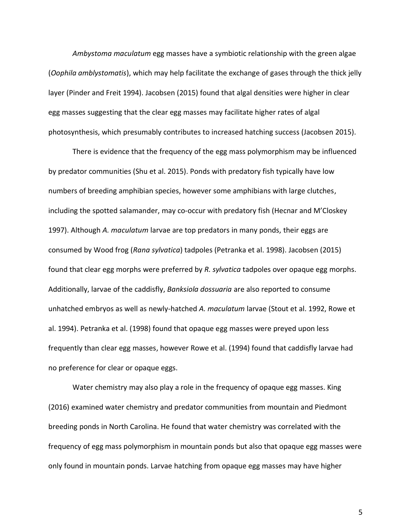*Ambystoma maculatum* egg masses have a symbiotic relationship with the green algae (*Oophila amblystomatis*), which may help facilitate the exchange of gases through the thick jelly layer (Pinder and Freit 1994). Jacobsen (2015) found that algal densities were higher in clear egg masses suggesting that the clear egg masses may facilitate higher rates of algal photosynthesis, which presumably contributes to increased hatching success (Jacobsen 2015).

There is evidence that the frequency of the egg mass polymorphism may be influenced by predator communities (Shu et al. 2015). Ponds with predatory fish typically have low numbers of breeding amphibian species, however some amphibians with large clutches, including the spotted salamander, may co-occur with predatory fish (Hecnar and M'Closkey 1997). Although *A. maculatum* larvae are top predators in many ponds, their eggs are consumed by Wood frog (*Rana sylvatica*) tadpoles (Petranka et al. 1998). Jacobsen (2015) found that clear egg morphs were preferred by *R. sylvatica* tadpoles over opaque egg morphs. Additionally, larvae of the caddisfly, *Banksiola dossuaria* are also reported to consume unhatched embryos as well as newly-hatched *A. maculatum* larvae (Stout et al. 1992, Rowe et al. 1994). Petranka et al. (1998) found that opaque egg masses were preyed upon less frequently than clear egg masses, however Rowe et al. (1994) found that caddisfly larvae had no preference for clear or opaque eggs.

Water chemistry may also play a role in the frequency of opaque egg masses. King (2016) examined water chemistry and predator communities from mountain and Piedmont breeding ponds in North Carolina. He found that water chemistry was correlated with the frequency of egg mass polymorphism in mountain ponds but also that opaque egg masses were only found in mountain ponds. Larvae hatching from opaque egg masses may have higher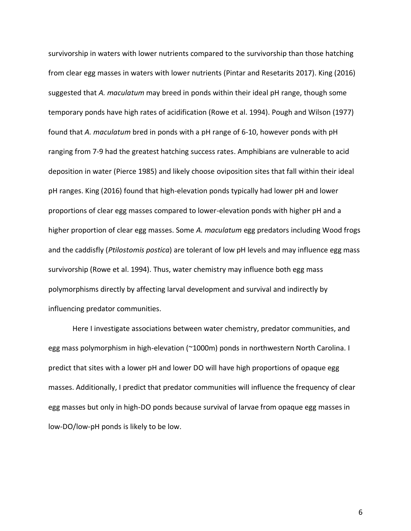survivorship in waters with lower nutrients compared to the survivorship than those hatching from clear egg masses in waters with lower nutrients (Pintar and Resetarits 2017). King (2016) suggested that *A. maculatum* may breed in ponds within their ideal pH range, though some temporary ponds have high rates of acidification (Rowe et al. 1994). Pough and Wilson (1977) found that *A. maculatum* bred in ponds with a pH range of 6-10, however ponds with pH ranging from 7-9 had the greatest hatching success rates. Amphibians are vulnerable to acid deposition in water (Pierce 1985) and likely choose oviposition sites that fall within their ideal pH ranges. King (2016) found that high-elevation ponds typically had lower pH and lower proportions of clear egg masses compared to lower-elevation ponds with higher pH and a higher proportion of clear egg masses. Some *A. maculatum* egg predators including Wood frogs and the caddisfly (*Ptilostomis postica*) are tolerant of low pH levels and may influence egg mass survivorship (Rowe et al. 1994). Thus, water chemistry may influence both egg mass polymorphisms directly by affecting larval development and survival and indirectly by influencing predator communities.

Here I investigate associations between water chemistry, predator communities, and egg mass polymorphism in high-elevation (~1000m) ponds in northwestern North Carolina. I predict that sites with a lower pH and lower DO will have high proportions of opaque egg masses. Additionally, I predict that predator communities will influence the frequency of clear egg masses but only in high-DO ponds because survival of larvae from opaque egg masses in low-DO/low-pH ponds is likely to be low.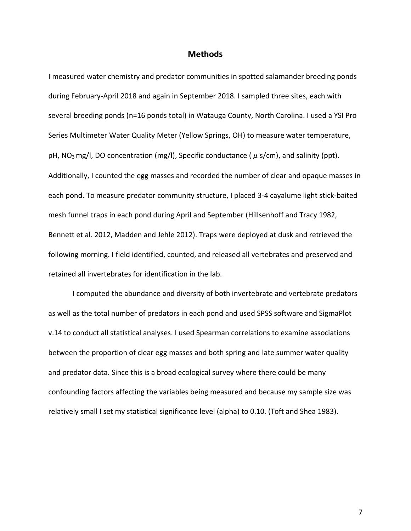#### **Methods**

I measured water chemistry and predator communities in spotted salamander breeding ponds during February-April 2018 and again in September 2018. I sampled three sites, each with several breeding ponds (n=16 ponds total) in Watauga County, North Carolina. I used a YSI Pro Series Multimeter Water Quality Meter (Yellow Springs, OH) to measure water temperature, pH, NO<sub>3</sub> mg/l, DO concentration (mg/l), Specific conductance ( $\mu$  s/cm), and salinity (ppt). Additionally, I counted the egg masses and recorded the number of clear and opaque masses in each pond. To measure predator community structure, I placed 3-4 cayalume light stick-baited mesh funnel traps in each pond during April and September (Hillsenhoff and Tracy 1982, Bennett et al. 2012, Madden and Jehle 2012). Traps were deployed at dusk and retrieved the following morning. I field identified, counted, and released all vertebrates and preserved and retained all invertebrates for identification in the lab.

I computed the abundance and diversity of both invertebrate and vertebrate predators as well as the total number of predators in each pond and used SPSS software and SigmaPlot v.14 to conduct all statistical analyses. I used Spearman correlations to examine associations between the proportion of clear egg masses and both spring and late summer water quality and predator data. Since this is a broad ecological survey where there could be many confounding factors affecting the variables being measured and because my sample size was relatively small I set my statistical significance level (alpha) to 0.10. (Toft and Shea 1983).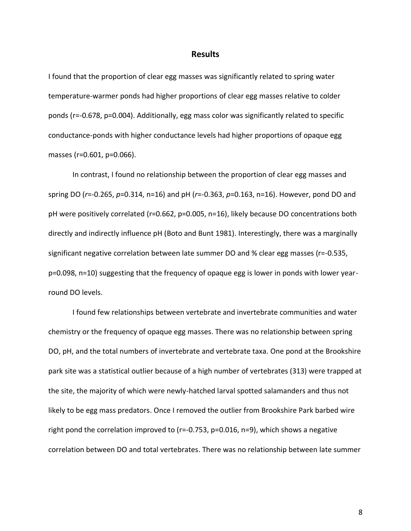#### **Results**

I found that the proportion of clear egg masses was significantly related to spring water temperature-warmer ponds had higher proportions of clear egg masses relative to colder ponds (r=-0.678, p=0.004). Additionally, egg mass color was significantly related to specific conductance-ponds with higher conductance levels had higher proportions of opaque egg masses (r=0.601, p=0.066).

In contrast, I found no relationship between the proportion of clear egg masses and spring DO (*r*=-0.265, *p*=0.314, n=16) and pH (*r*=-0.363, *p*=0.163, n=16). However, pond DO and pH were positively correlated (r=0.662, p=0.005, n=16), likely because DO concentrations both directly and indirectly influence pH (Boto and Bunt 1981). Interestingly, there was a marginally significant negative correlation between late summer DO and % clear egg masses (r=-0.535, p=0.098, n=10) suggesting that the frequency of opaque egg is lower in ponds with lower yearround DO levels.

I found few relationships between vertebrate and invertebrate communities and water chemistry or the frequency of opaque egg masses. There was no relationship between spring DO, pH, and the total numbers of invertebrate and vertebrate taxa. One pond at the Brookshire park site was a statistical outlier because of a high number of vertebrates (313) were trapped at the site, the majority of which were newly-hatched larval spotted salamanders and thus not likely to be egg mass predators. Once I removed the outlier from Brookshire Park barbed wire right pond the correlation improved to (r=-0.753, p=0.016, n=9), which shows a negative correlation between DO and total vertebrates. There was no relationship between late summer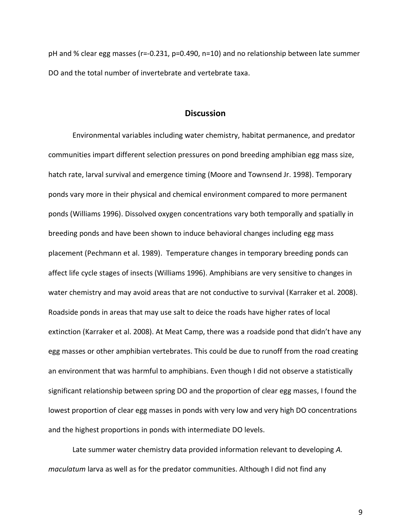pH and % clear egg masses (r=-0.231, p=0.490, n=10) and no relationship between late summer DO and the total number of invertebrate and vertebrate taxa.

#### **Discussion**

Environmental variables including water chemistry, habitat permanence, and predator communities impart different selection pressures on pond breeding amphibian egg mass size, hatch rate, larval survival and emergence timing (Moore and Townsend Jr. 1998). Temporary ponds vary more in their physical and chemical environment compared to more permanent ponds (Williams 1996). Dissolved oxygen concentrations vary both temporally and spatially in breeding ponds and have been shown to induce behavioral changes including egg mass placement (Pechmann et al. 1989). Temperature changes in temporary breeding ponds can affect life cycle stages of insects (Williams 1996). Amphibians are very sensitive to changes in water chemistry and may avoid areas that are not conductive to survival (Karraker et al. 2008). Roadside ponds in areas that may use salt to deice the roads have higher rates of local extinction (Karraker et al. 2008). At Meat Camp, there was a roadside pond that didn't have any egg masses or other amphibian vertebrates. This could be due to runoff from the road creating an environment that was harmful to amphibians. Even though I did not observe a statistically significant relationship between spring DO and the proportion of clear egg masses, I found the lowest proportion of clear egg masses in ponds with very low and very high DO concentrations and the highest proportions in ponds with intermediate DO levels.

Late summer water chemistry data provided information relevant to developing *A. maculatum* larva as well as for the predator communities. Although I did not find any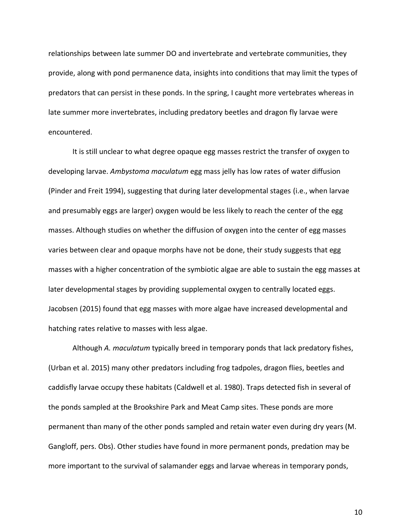relationships between late summer DO and invertebrate and vertebrate communities, they provide, along with pond permanence data, insights into conditions that may limit the types of predators that can persist in these ponds. In the spring, I caught more vertebrates whereas in late summer more invertebrates, including predatory beetles and dragon fly larvae were encountered.

It is still unclear to what degree opaque egg masses restrict the transfer of oxygen to developing larvae. *Ambystoma maculatum* egg mass jelly has low rates of water diffusion (Pinder and Freit 1994), suggesting that during later developmental stages (i.e., when larvae and presumably eggs are larger) oxygen would be less likely to reach the center of the egg masses. Although studies on whether the diffusion of oxygen into the center of egg masses varies between clear and opaque morphs have not be done, their study suggests that egg masses with a higher concentration of the symbiotic algae are able to sustain the egg masses at later developmental stages by providing supplemental oxygen to centrally located eggs. Jacobsen (2015) found that egg masses with more algae have increased developmental and hatching rates relative to masses with less algae.

Although *A. maculatum* typically breed in temporary ponds that lack predatory fishes, (Urban et al. 2015) many other predators including frog tadpoles, dragon flies, beetles and caddisfly larvae occupy these habitats (Caldwell et al. 1980). Traps detected fish in several of the ponds sampled at the Brookshire Park and Meat Camp sites. These ponds are more permanent than many of the other ponds sampled and retain water even during dry years (M. Gangloff, pers. Obs). Other studies have found in more permanent ponds, predation may be more important to the survival of salamander eggs and larvae whereas in temporary ponds,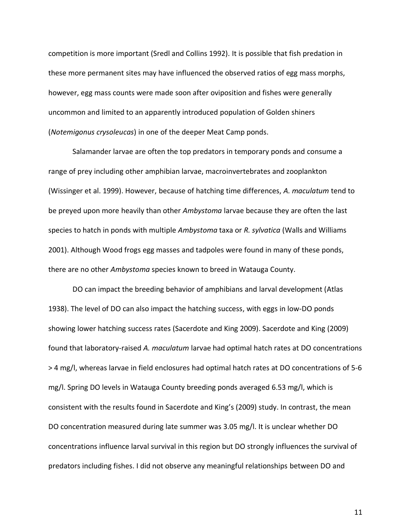competition is more important (Sredl and Collins 1992). It is possible that fish predation in these more permanent sites may have influenced the observed ratios of egg mass morphs, however, egg mass counts were made soon after oviposition and fishes were generally uncommon and limited to an apparently introduced population of Golden shiners (*Notemigonus crysoleucas*) in one of the deeper Meat Camp ponds.

Salamander larvae are often the top predators in temporary ponds and consume a range of prey including other amphibian larvae, macroinvertebrates and zooplankton (Wissinger et al. 1999). However, because of hatching time differences, *A. maculatum* tend to be preyed upon more heavily than other *Ambystoma* larvae because they are often the last species to hatch in ponds with multiple *Ambystoma* taxa or *R. sylvatica* (Walls and Williams 2001). Although Wood frogs egg masses and tadpoles were found in many of these ponds, there are no other *Ambystoma* species known to breed in Watauga County.

DO can impact the breeding behavior of amphibians and larval development (Atlas 1938). The level of DO can also impact the hatching success, with eggs in low-DO ponds showing lower hatching success rates (Sacerdote and King 2009). Sacerdote and King (2009) found that laboratory-raised *A. maculatum* larvae had optimal hatch rates at DO concentrations > 4 mg/l, whereas larvae in field enclosures had optimal hatch rates at DO concentrations of 5-6 mg/l. Spring DO levels in Watauga County breeding ponds averaged 6.53 mg/l, which is consistent with the results found in Sacerdote and King's (2009) study. In contrast, the mean DO concentration measured during late summer was 3.05 mg/l. It is unclear whether DO concentrations influence larval survival in this region but DO strongly influences the survival of predators including fishes. I did not observe any meaningful relationships between DO and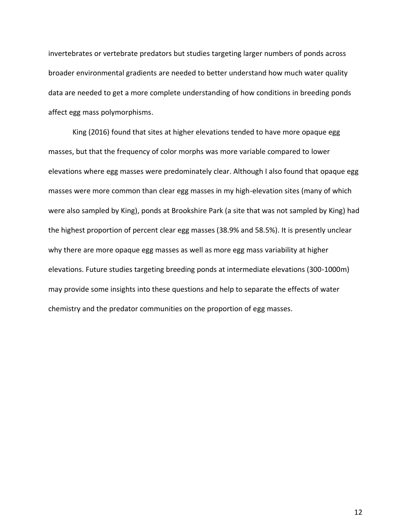invertebrates or vertebrate predators but studies targeting larger numbers of ponds across broader environmental gradients are needed to better understand how much water quality data are needed to get a more complete understanding of how conditions in breeding ponds affect egg mass polymorphisms.

King (2016) found that sites at higher elevations tended to have more opaque egg masses, but that the frequency of color morphs was more variable compared to lower elevations where egg masses were predominately clear. Although I also found that opaque egg masses were more common than clear egg masses in my high-elevation sites (many of which were also sampled by King), ponds at Brookshire Park (a site that was not sampled by King) had the highest proportion of percent clear egg masses (38.9% and 58.5%). It is presently unclear why there are more opaque egg masses as well as more egg mass variability at higher elevations. Future studies targeting breeding ponds at intermediate elevations (300-1000m) may provide some insights into these questions and help to separate the effects of water chemistry and the predator communities on the proportion of egg masses.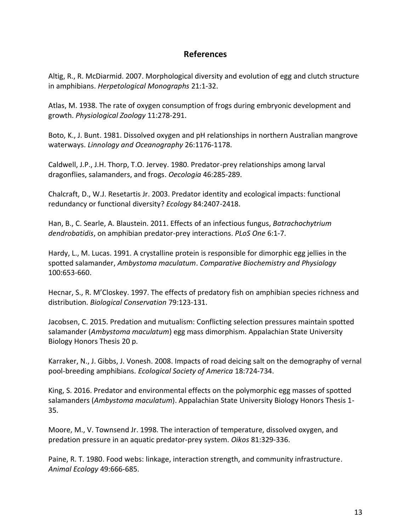## **References**

Altig, R., R. McDiarmid. 2007. Morphological diversity and evolution of egg and clutch structure in amphibians. *Herpetological Monographs* 21:1-32.

Atlas, M. 1938. The rate of oxygen consumption of frogs during embryonic development and growth. *Physiological Zoology* 11:278-291.

Boto, K., J. Bunt. 1981. Dissolved oxygen and pH relationships in northern Australian mangrove waterways. *Linnology and Oceanography* 26:1176-1178.

Caldwell, J.P., J.H. Thorp, T.O. Jervey. 1980. Predator-prey relationships among larval dragonflies, salamanders, and frogs. *Oecologia* 46:285-289.

Chalcraft, D., W.J. Resetartis Jr. 2003. Predator identity and ecological impacts: functional redundancy or functional diversity? *Ecology* 84:2407-2418.

Han, B., C. Searle, A. Blaustein. 2011. Effects of an infectious fungus, *Batrachochytrium dendrobatidis*, on amphibian predator-prey interactions. *PLoS One* 6:1-7.

Hardy, L., M. Lucas. 1991. A crystalline protein is responsible for dimorphic egg jellies in the spotted salamander, *Ambystoma maculatum*. *Comparative Biochemistry and Physiology* 100:653-660.

Hecnar, S., R. M'Closkey. 1997. The effects of predatory fish on amphibian species richness and distribution. *Biological Conservation* 79:123-131.

Jacobsen, C. 2015. Predation and mutualism: Conflicting selection pressures maintain spotted salamander (*Ambystoma maculatum*) egg mass dimorphism. Appalachian State University Biology Honors Thesis 20 p.

Karraker, N., J. Gibbs, J. Vonesh. 2008. Impacts of road deicing salt on the demography of vernal pool-breeding amphibians. *Ecological Society of America* 18:724-734.

King, S. 2016. Predator and environmental effects on the polymorphic egg masses of spotted salamanders (*Ambystoma maculatum*). Appalachian State University Biology Honors Thesis 1- 35.

Moore, M., V. Townsend Jr. 1998. The interaction of temperature, dissolved oxygen, and predation pressure in an aquatic predator-prey system. *Oikos* 81:329-336.

Paine, R. T. 1980. Food webs: linkage, interaction strength, and community infrastructure. *Animal Ecology* 49:666-685.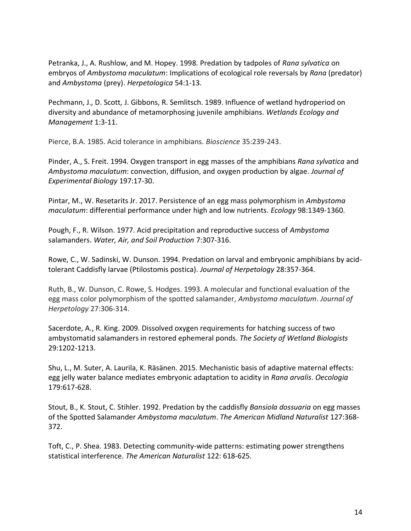Petranka, J., A. Rushlow, and M. Hopey. 1998. Predation by tadpoles of *Rana sylvatica* on embryos of *Ambystoma maculatum*: Implications of ecological role reversals by *Rana* (predator) and *Ambystoma* (prey). *Herpetologica* 54:1-13.

Pechmann, J., D. Scott, J. Gibbons, R. Semlitsch. 1989. Influence of wetland hydroperiod on diversity and abundance of metamorphosing juvenile amphibians. *Wetlands Ecology and Management* 1:3-11.

Pierce, B.A. 1985. Acid tolerance in amphibians. *Bioscience* 35:239-243.

Pinder, A., S. Freit. 1994. Oxygen transport in egg masses of the amphibians *Rana sylvatica* and *Ambystoma maculatum*: convection, diffusion, and oxygen production by algae. *Journal of Experimental Biology* 197:17-30.

Pintar, M., W. Resetarits Jr. 2017. Persistence of an egg mass polymorphism in *Ambystoma maculatum*: differential performance under high and low nutrients. *Ecology* 98:1349-1360.

Pough, F., R. Wilson. 1977. Acid precipitation and reproductive success of *Ambystoma* salamanders. *Water, Air, and Soil Production* 7:307-316.

Rowe, C., W. Sadinski, W. Dunson. 1994. Predation on larval and embryonic amphibians by acidtolerant Caddisfly larvae (Ptilostomis postica). *Journal of Herpetology* 28:357-364.

Ruth, B., W. Dunson, C. Rowe, S. Hodges. 1993. A molecular and functional evaluation of the egg mass color polymorphism of the spotted salamander, *Ambystoma maculatum*. *Journal of Herpetology* 27:306-314.

Sacerdote, A., R. King. 2009. Dissolved oxygen requirements for hatching success of two ambystomatid salamanders in restored ephemeral ponds. *The Society of Wetland Biologists* 29:1202-1213.

Shu, L., M. Suter, A. Laurila, K. Räsänen. 2015. Mechanistic basis of adaptive maternal effects: egg jelly water balance mediates embryonic adaptation to acidity in *Rana arvalis*. *Oecologia* 179:617-628.

Stout, B., K. Stout, C. Stihler. 1992. Predation by the caddisfly *Bansiola dossuaria* on egg masses of the Spotted Salamander *Ambystoma maculatum*. *The American Midland Naturalist* 127:368- 372.

Toft, C., P. Shea. 1983. Detecting community-wide patterns: estimating power strengthens statistical interference. *The American Naturalist* 122: 618-625.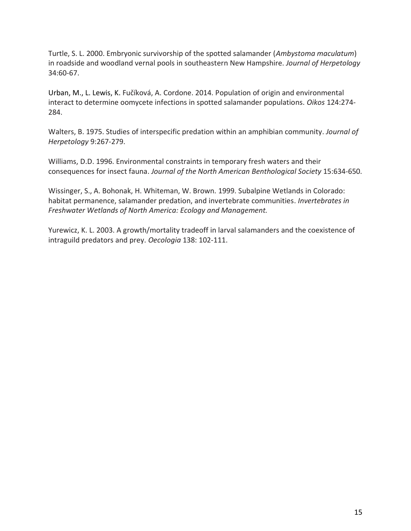Turtle, S. L. 2000. Embryonic survivorship of the spotted salamander (*Ambystoma maculatum*) in roadside and woodland vernal pools in southeastern New Hampshire. *Journal of Herpetology* 34:60-67.

Urban, M., L. Lewis, K. Fučíková, A. Cordone. 2014. Population of origin and environmental interact to determine oomycete infections in spotted salamander populations. *Oikos* 124:274- 284.

Walters, B. 1975. Studies of interspecific predation within an amphibian community. *Journal of Herpetology* 9:267-279.

Williams, D.D. 1996. Environmental constraints in temporary fresh waters and their consequences for insect fauna. *Journal of the North American Benthological Society* 15:634-650.

Wissinger, S., A. Bohonak, H. Whiteman, W. Brown. 1999. Subalpine Wetlands in Colorado: habitat permanence, salamander predation, and invertebrate communities. *Invertebrates in Freshwater Wetlands of North America: Ecology and Management.* 

Yurewicz, K. L. 2003. A growth/mortality tradeoff in larval salamanders and the coexistence of intraguild predators and prey. *Oecologia* 138: 102-111.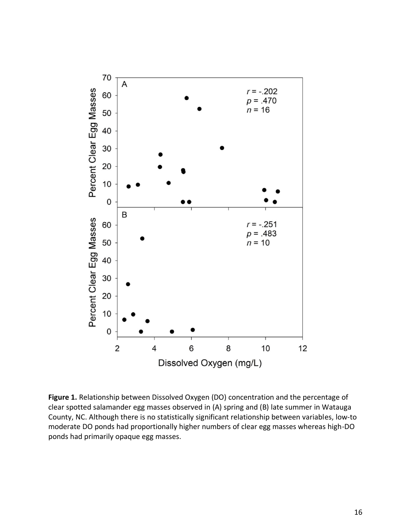

**Figure 1.** Relationship between Dissolved Oxygen (DO) concentration and the percentage of clear spotted salamander egg masses observed in (A) spring and (B) late summer in Watauga County, NC. Although there is no statistically significant relationship between variables, low-to moderate DO ponds had proportionally higher numbers of clear egg masses whereas high-DO ponds had primarily opaque egg masses.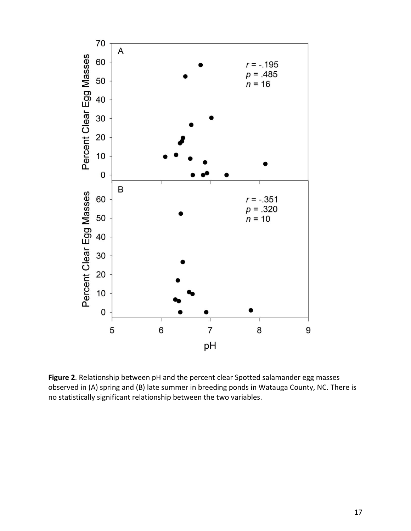

**Figure 2**. Relationship between pH and the percent clear Spotted salamander egg masses observed in (A) spring and (B) late summer in breeding ponds in Watauga County, NC. There is no statistically significant relationship between the two variables.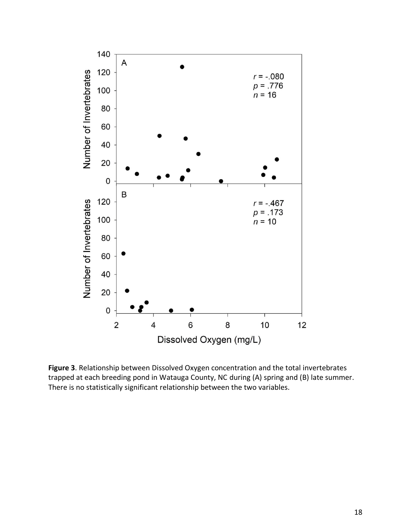

**Figure 3**. Relationship between Dissolved Oxygen concentration and the total invertebrates trapped at each breeding pond in Watauga County, NC during (A) spring and (B) late summer. There is no statistically significant relationship between the two variables.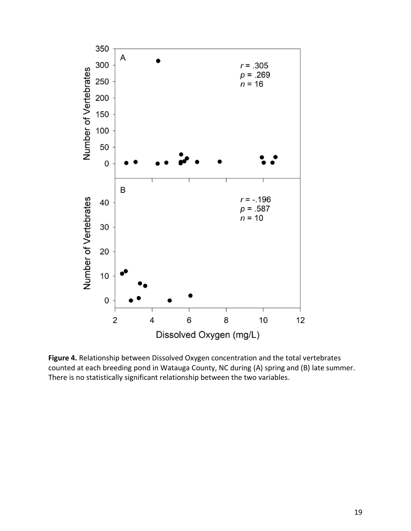

**Figure 4.** Relationship between Dissolved Oxygen concentration and the total vertebrates counted at each breeding pond in Watauga County, NC during (A) spring and (B) late summer. There is no statistically significant relationship between the two variables.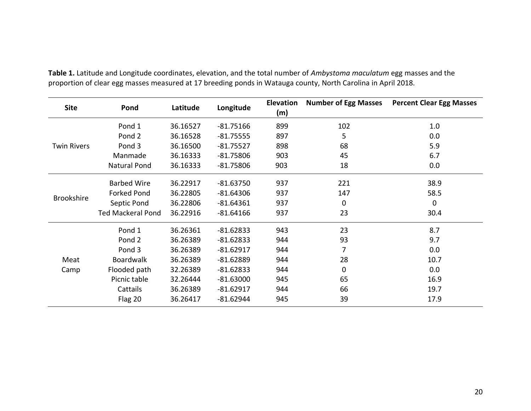| <b>Site</b>        | Pond                     | Latitude | Longitude   | <b>Elevation</b><br>(m) | <b>Number of Egg Masses</b> | <b>Percent Clear Egg Masses</b> |
|--------------------|--------------------------|----------|-------------|-------------------------|-----------------------------|---------------------------------|
|                    | Pond 1                   | 36.16527 | $-81.75166$ | 899                     | 102                         | 1.0                             |
|                    | Pond 2                   | 36.16528 | $-81.75555$ | 897                     | 5                           | 0.0                             |
| <b>Twin Rivers</b> | Pond 3                   | 36.16500 | $-81.75527$ | 898                     | 68                          | 5.9                             |
|                    | Manmade                  | 36.16333 | $-81.75806$ | 903                     | 45                          | 6.7                             |
|                    | <b>Natural Pond</b>      | 36.16333 | $-81.75806$ | 903                     | 18                          | 0.0                             |
|                    | <b>Barbed Wire</b>       | 36.22917 | $-81.63750$ | 937                     | 221                         | 38.9                            |
|                    | <b>Forked Pond</b>       | 36.22805 | $-81.64306$ | 937                     | 147                         | 58.5                            |
| <b>Brookshire</b>  | Septic Pond              | 36.22806 | $-81.64361$ | 937                     | $\mathbf 0$                 | $\mathbf 0$                     |
|                    | <b>Ted Mackeral Pond</b> | 36.22916 | $-81.64166$ | 937                     | 23                          | 30.4                            |
|                    | Pond 1                   | 36.26361 | $-81.62833$ | 943                     | 23                          | 8.7                             |
|                    | Pond 2                   | 36.26389 | $-81.62833$ | 944                     | 93                          | 9.7                             |
|                    | Pond 3                   | 36.26389 | $-81.62917$ | 944                     | 7                           | 0.0                             |
| Meat               | <b>Boardwalk</b>         | 36.26389 | $-81.62889$ | 944                     | 28                          | 10.7                            |
| Camp               | Flooded path             | 32.26389 | $-81.62833$ | 944                     | 0                           | 0.0                             |
|                    | Picnic table             | 32.26444 | $-81.63000$ | 945                     | 65                          | 16.9                            |
|                    | Cattails                 | 36.26389 | $-81.62917$ | 944                     | 66                          | 19.7                            |
|                    | Flag 20                  | 36.26417 | $-81.62944$ | 945                     | 39                          | 17.9                            |

**Table 1.** Latitude and Longitude coordinates, elevation, and the total number of *Ambystoma maculatum* egg masses and the proportion of clear egg masses measured at 17 breeding ponds in Watauga county, North Carolina in April 2018.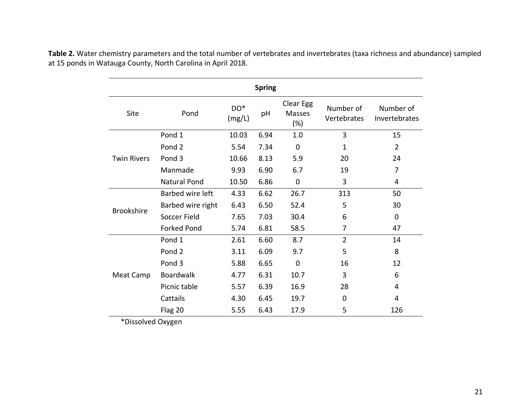| <b>Spring</b>      |                     |               |                     |                                   |                          |                            |  |  |  |  |  |
|--------------------|---------------------|---------------|---------------------|-----------------------------------|--------------------------|----------------------------|--|--|--|--|--|
| Site               | Pond                | DO*<br>(mg/L) | pH                  | Clear Egg<br><b>Masses</b><br>(%) | Number of<br>Vertebrates | Number of<br>Invertebrates |  |  |  |  |  |
|                    | Pond 1              | 10.03         | 6.94                | 1.0                               | 3                        | 15                         |  |  |  |  |  |
|                    | Pond <sub>2</sub>   | 5.54          | 7.34                | 0                                 | 1                        | $\overline{2}$             |  |  |  |  |  |
| <b>Twin Rivers</b> | Pond <sub>3</sub>   | 10.66         | 8.13                | 5.9                               | 20                       | 24                         |  |  |  |  |  |
|                    | Manmade             | 9.93          | 6.90                | 6.7                               | 19                       | $\overline{7}$             |  |  |  |  |  |
|                    | <b>Natural Pond</b> | 10.50         | 6.86<br>$\mathbf 0$ |                                   | 3                        | 4                          |  |  |  |  |  |
|                    | Barbed wire left    | 4.33          | 6.62                | 26.7                              | 313                      | 50                         |  |  |  |  |  |
| <b>Brookshire</b>  | Barbed wire right   | 6.43          | 6.50                | 52.4                              | 5                        | 30                         |  |  |  |  |  |
|                    | Soccer Field        | 7.65          | 7.03                | 30.4                              | 6                        | 0                          |  |  |  |  |  |
|                    | <b>Forked Pond</b>  | 5.74          | 6.81                | 58.5                              | 7                        | 47                         |  |  |  |  |  |
|                    | Pond 1              | 2.61          | 6.60                | 8.7                               | $\overline{2}$           | 14                         |  |  |  |  |  |
|                    | Pond <sub>2</sub>   | 3.11          | 6.09                | 9.7                               | 5                        | 8                          |  |  |  |  |  |
|                    | Pond 3              | 5.88          | 6.65                | $\mathbf 0$                       | 16                       | 12                         |  |  |  |  |  |
| Meat Camp          | <b>Boardwalk</b>    | 4.77          | 6.31                | 10.7                              | 3                        | 6                          |  |  |  |  |  |
|                    | Picnic table        | 5.57          | 6.39                | 16.9                              | 28                       | 4                          |  |  |  |  |  |
|                    | Cattails            | 4.30          | 6.45                | 19.7                              | 0                        | 4                          |  |  |  |  |  |
|                    | Flag 20             | 5.55          | 6.43                | 17.9                              | 5                        | 126                        |  |  |  |  |  |

Table 2. Water chemistry parameters and the total number of vertebrates and invertebrates (taxa richness and abundance) sampled at 15 ponds in Watauga County, North Carolina in April 2018.

\*Dissolved Oxygen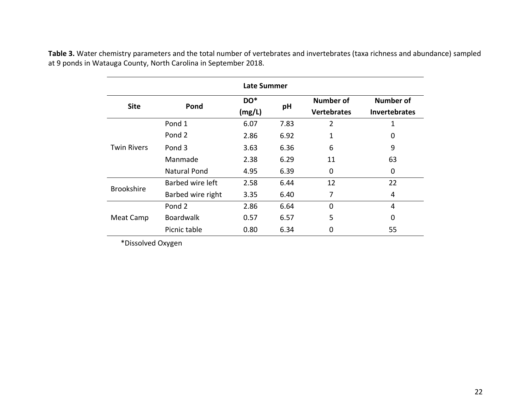| Late Summer        |                   |               |      |                                 |                                          |  |  |  |  |  |
|--------------------|-------------------|---------------|------|---------------------------------|------------------------------------------|--|--|--|--|--|
| <b>Site</b>        | Pond              | DO*<br>(mg/L) | pH   | Number of<br><b>Vertebrates</b> | <b>Number of</b><br><b>Invertebrates</b> |  |  |  |  |  |
|                    | Pond 1            | 6.07          | 7.83 | 2                               | 1                                        |  |  |  |  |  |
| <b>Twin Rivers</b> | Pond 2            | 2.86          | 6.92 | 1                               | 0                                        |  |  |  |  |  |
|                    | Pond 3            | 3.63          | 6.36 | 6                               | 9                                        |  |  |  |  |  |
|                    | Manmade           | 2.38          | 6.29 | 11                              | 63                                       |  |  |  |  |  |
|                    | Natural Pond      | 4.95          | 6.39 | 0                               | 0                                        |  |  |  |  |  |
| <b>Brookshire</b>  | Barbed wire left  | 2.58          | 6.44 | 12                              | 22                                       |  |  |  |  |  |
|                    | Barbed wire right | 3.35          | 6.40 | 7                               | 4                                        |  |  |  |  |  |
|                    | Pond 2            | 2.86          | 6.64 | $\Omega$                        | 4                                        |  |  |  |  |  |
| Meat Camp          | <b>Boardwalk</b>  | 0.57          | 6.57 | 5                               | 0                                        |  |  |  |  |  |
|                    | Picnic table      | 0.80          | 6.34 | 0                               | 55                                       |  |  |  |  |  |

Table 3. Water chemistry parameters and the total number of vertebrates and invertebrates (taxa richness and abundance) sampled at 9 ponds in Watauga County, North Carolina in September 2018.

\*Dissolved Oxygen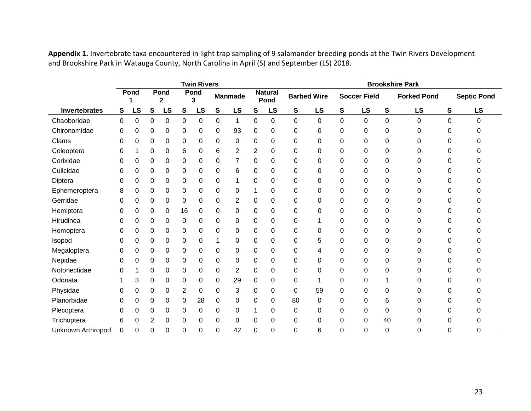|                      |   | <b>Twin Rivers</b> |                |           |           |           |             |                |                |                        | <b>Brookshire Park</b> |                    |             |                     |          |                    |   |                    |
|----------------------|---|--------------------|----------------|-----------|-----------|-----------|-------------|----------------|----------------|------------------------|------------------------|--------------------|-------------|---------------------|----------|--------------------|---|--------------------|
|                      |   | Pond<br>1          |                | Pond<br>2 |           | Pond<br>3 |             | <b>Manmade</b> |                | <b>Natural</b><br>Pond |                        | <b>Barbed Wire</b> |             | <b>Soccer Field</b> |          | <b>Forked Pond</b> |   | <b>Septic Pond</b> |
| <b>Invertebrates</b> | S | <b>LS</b>          | ${\bf S}$      | LS        | ${\bf S}$ | <b>LS</b> | $\mathbf s$ | LS             | S              | LS                     | S                      | <b>LS</b>          | S           | LS                  | S        | <b>LS</b>          | S | LS                 |
| Chaoboridae          | 0 | 0                  | 0              | 0         | 0         | 0         | 0           | 1              | 0              | 0                      | $\mathbf 0$            | 0                  | $\mathbf 0$ | $\pmb{0}$           | 0        | 0                  | 0 | $\Omega$           |
| Chironomidae         | 0 | 0                  | 0              | 0         | 0         | 0         | 0           | 93             | 0              | 0                      | 0                      | 0                  | 0           | $\pmb{0}$           | 0        | 0                  | 0 | $\Omega$           |
| Clams                | 0 | 0                  | 0              | 0         | $\pmb{0}$ | 0         | 0           | 0              | 0              | 0                      | 0                      | 0                  | 0           | $\pmb{0}$           | 0        | 0                  | 0 | 0                  |
| Coleoptera           | 0 |                    | 0              | 0         | 6         | 0         | 6           | 2              | $\overline{2}$ | 0                      | 0                      | 0                  | 0           | $\pmb{0}$           | $\Omega$ | 0                  | 0 | 0                  |
| Corixidae            | 0 | 0                  | 0              | 0         | 0         | 0         | 0           | 7              | 0              | 0                      | 0                      | 0                  | 0           | 0                   | $\Omega$ | 0                  | 0 | 0                  |
| Culicidae            | 0 | 0                  | 0              | 0         | $\pmb{0}$ | 0         | 0           | 6              | 0              | 0                      | 0                      | 0                  | 0           | 0                   | 0        | 0                  | 0 | 0                  |
| Diptera              | 0 | $\Omega$           | 0              | 0         | $\pmb{0}$ | 0         | 0           |                | 0              | 0                      | 0                      | 0                  | 0           | 0                   | 0        | 0                  | 0 | 0                  |
| Ephemeroptera        | 8 | 0                  | 0              | 0         | $\pmb{0}$ | 0         | 0           | 0              | 1              | 0                      | 0                      | 0                  | 0           | $\pmb{0}$           | 0        | 0                  | 0 | 0                  |
| Gerridae             | 0 | 0                  | 0              | 0         | $\pmb{0}$ | 0         | 0           | 2              | 0              | 0                      | 0                      | 0                  | 0           | 0                   | 0        | 0                  | 0 | 0                  |
| Hemiptera            | 0 | 0                  | 0              | 0         | 16        | 0         | 0           | 0              | 0              | 0                      | 0                      | 0                  | 0           | $\pmb{0}$           | 0        | 0                  | 0 | 0                  |
| Hirudinea            | 0 | 0                  | 0              | 0         | 0         | 0         | 0           | 0              | 0              | 0                      | 0                      | 1                  | 0           | $\pmb{0}$           | 0        | 0                  | 0 | 0                  |
| Homoptera            | 0 | 0                  | 0              | 0         | $\pmb{0}$ | 0         | 0           | 0              | 0              | 0                      | 0                      | 0                  | 0           | $\pmb{0}$           | 0        | 0                  | 0 | 0                  |
| Isopod               | 0 | 0                  | 0              | 0         | $\pmb{0}$ | 0         |             | 0              | 0              | 0                      | 0                      | 5                  | 0           | 0                   | 0        | 0                  | 0 | 0                  |
| Megaloptera          | 0 | 0                  | 0              | 0         | 0         | 0         | 0           | 0              | 0              | 0                      | 0                      | 4                  | 0           | 0                   | 0        | 0                  | 0 | 0                  |
| Nepidae              | 0 | 0                  | 0              | 0         | $\pmb{0}$ | 0         | 0           | 0              | 0              | 0                      | 0                      | 0                  | 0           | $\pmb{0}$           | 0        | 0                  | 0 | 0                  |
| Notonectidae         | 0 |                    | 0              | 0         | 0         | 0         | 0           | 2              | 0              | 0                      | 0                      | 0                  | 0           | 0                   | 0        | 0                  | 0 | 0                  |
| Odonata              |   | 3                  | 0              | 0         | 0         | 0         | 0           | 29             | 0              | 0                      | 0                      | 1                  | 0           | 0                   |          | 0                  | 0 | 0                  |
| Physidae             | 0 | 0                  | 0              | 0         | 2         | 0         | 0           | 3              | 0              | 0                      | 0                      | 59                 | 0           | 0                   | $\Omega$ | 0                  | 0 | 0                  |
| Planorbidae          | 0 | 0                  | 0              | 0         | $\pmb{0}$ | 28        | 0           | 0              | 0              | 0                      | 80                     | 0                  | 0           | $\pmb{0}$           | 6        | 0                  | 0 | 0                  |
| Plecoptera           | 0 | 0                  | 0              | 0         | 0         | 0         | 0           | 0              |                | 0                      | 0                      | 0                  | 0           | 0                   | 0        | 0                  | 0 | 0                  |
| Trichoptera          | 6 | 0                  | $\overline{2}$ | 0         | 0         | 0         | 0           | 0              | 0              | 0                      | 0                      | 0                  | 0           | $\pmb{0}$           | 40       | 0                  | 0 | 0                  |
| Unknown Arthropod    | 0 | 0                  | 0              | 0         | 0         | 0         | 0           | 42             | 0              | 0                      | 0                      | 6                  | 0           | 0                   | 0        | 0                  | 0 | 0                  |

**Appendix 1.** Invertebrate taxa encountered in light trap sampling of 9 salamander breeding ponds at the Twin Rivers Development and Brookshire Park in Watauga County, North Carolina in April (S) and September (LS) 2018.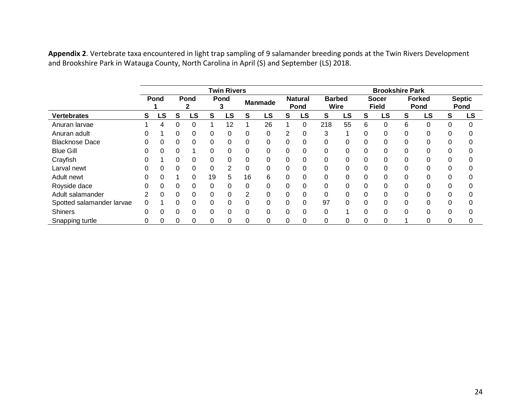|                           |          | <b>Twin Rivers</b> |          |           |    |      |             |                |                |                        | <b>Brookshire Park</b>       |    |          |                              |          |                       |   |                       |
|---------------------------|----------|--------------------|----------|-----------|----|------|-------------|----------------|----------------|------------------------|------------------------------|----|----------|------------------------------|----------|-----------------------|---|-----------------------|
|                           |          | Pond               |          | Pond      |    | Pond |             | <b>Manmade</b> |                | <b>Natural</b><br>Pond | <b>Barbed</b><br><b>Wire</b> |    |          | <b>Socer</b><br><b>Field</b> |          | <b>Forked</b><br>Pond |   | <b>Septic</b><br>Pond |
| <b>Vertebrates</b>        | S        | LS                 | S        | <b>LS</b> | S  | LS   | S           | LS             | S              | LS                     | S                            | LS | S        | LS                           | S        | LS                    | s | LS                    |
| Anuran larvae             |          | 4                  | 0        |           |    | 12   |             | 26             |                | 0                      | 218                          | 55 | 6        | 0                            | 6        | 0                     |   | 0                     |
| Anuran adult              |          |                    | 0        | 0         | 0  | 0    | 0           | 0              | $\overline{2}$ | 0                      | 3                            |    | 0        | 0                            | 0        | 0                     | 0 |                       |
| <b>Blacknose Dace</b>     |          | 0                  | 0        | $\Omega$  | 0  | 0    | 0           | 0              | 0              | 0                      | 0                            | 0  | $\Omega$ | 0                            | 0        | 0                     | 0 |                       |
| <b>Blue Gill</b>          |          | 0                  | 0        |           | 0  | 0    | $\mathbf 0$ | 0              | 0              | 0                      | 0                            | 0  | 0        | 0                            | 0        | 0                     |   | 0                     |
| Crayfish                  |          |                    | 0        | 0         | 0  | 0    | 0           | $\Omega$       | 0              | 0                      | 0                            | 0  | 0        | 0                            | 0        | 0                     | 0 |                       |
| Larval newt               |          | 0                  | 0        | 0         | 0  | 2    | 0           | 0              | 0              | 0                      | 0                            | 0  | 0        | 0                            | 0        | 0                     |   |                       |
| Adult newt                |          | 0                  |          | 0         | 19 | 5    | 16          | 6              | 0              | 0                      | 0                            |    | 0        | 0                            | 0        | 0                     |   | 0                     |
| Royside dace              |          | 0                  | 0        | 0         | 0  | 0    | 0           | 0              | $\Omega$       | 0                      | 0                            | 0  | 0        | 0                            | 0        | 0                     |   |                       |
| Adult salamander          |          | 0                  | 0        | 0         | 0  | 0    | 2           | 0              | 0              | 0                      | $\Omega$                     | 0  | 0        | 0                            | 0        | 0                     |   |                       |
| Spotted salamander larvae |          |                    | 0        | 0         | 0  | 0    | 0           | 0              | 0              | 0                      | 97                           |    | 0        | 0                            | 0        | 0                     |   |                       |
| <b>Shiners</b>            | $\Omega$ | 0                  | $\Omega$ | 0         | 0  | 0    | 0           | 0              | $\Omega$       | 0                      | 0                            |    | $\Omega$ | 0                            | $\Omega$ | 0                     | 0 | 0                     |
| Snapping turtle           |          | 0                  | 0        | 0         | 0  | 0    | 0           | 0              | 0              | 0                      | 0                            | 0  | 0        | 0                            |          | 0                     |   |                       |

**Appendix 2**. Vertebrate taxa encountered in light trap sampling of 9 salamander breeding ponds at the Twin Rivers Development and Brookshire Park in Watauga County, North Carolina in April (S) and September (LS) 2018.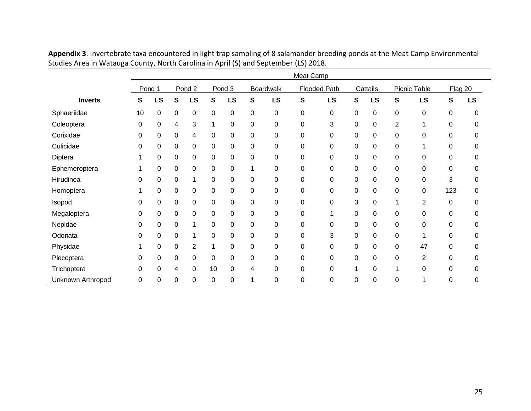|                   | Meat Camp |        |             |    |           |          |                  |                  |                     |    |                  |             |              |    |         |           |
|-------------------|-----------|--------|-------------|----|-----------|----------|------------------|------------------|---------------------|----|------------------|-------------|--------------|----|---------|-----------|
|                   |           | Pond 1 | Pond 2      |    |           | Pond 3   |                  | <b>Boardwalk</b> | <b>Flooded Path</b> |    | Cattails         |             | Picnic Table |    | Flag 20 |           |
| <b>Inverts</b>    | S         | LS     | S           | LS | S         | LS       | S                | LS               | S                   | LS | S                | LS          | S            | LS | S       | <b>LS</b> |
| Sphaeriidae       | 10        | 0      | 0           | 0  | 0         | 0        | 0                | 0                | 0                   | 0  | $\pmb{0}$        | 0           | 0            | 0  | 0       | 0         |
| Coleoptera        | 0         | 0      | 4           | 3  | 1         | $\Omega$ | $\boldsymbol{0}$ | $\pmb{0}$        | 0                   | 3  | $\pmb{0}$        | 0           | 2            | 1  | 0       | $\Omega$  |
| Corixidae         | 0         | 0      | 0           | 4  | 0         | 0        | $\pmb{0}$        | 0                | 0                   | 0  | 0                | 0           | 0            | 0  | 0       | 0         |
| Culicidae         | 0         | 0      | 0           | 0  | 0         | 0        | $\pmb{0}$        | 0                | 0                   | 0  | $\pmb{0}$        | 0           | 0            | 1  | 0       | 0         |
| Diptera           |           | 0      | $\mathbf 0$ | 0  | $\pmb{0}$ | 0        | $\pmb{0}$        | 0                | 0                   | 0  | $\pmb{0}$        | 0           | 0            | 0  | 0       | 0         |
| Ephemeroptera     |           | 0      | 0           | 0  | 0         | 0        |                  | 0                | 0                   | 0  | $\pmb{0}$        | $\mathbf 0$ | 0            | 0  | 0       | 0         |
| Hirudinea         | 0         | 0      | 0           |    | 0         | 0        | $\pmb{0}$        | 0                | 0                   | 0  | $\pmb{0}$        | 0           | 0            | 0  | 3       | 0         |
| Homoptera         |           | 0      | 0           | 0  | $\pmb{0}$ | 0        | $\pmb{0}$        | 0                | 0                   | 0  | $\pmb{0}$        | $\mathbf 0$ | 0            | 0  | 123     | 0         |
| Isopod            | 0         | 0      | 0           | 0  | $\pmb{0}$ | 0        | $\pmb{0}$        | 0                | 0                   | 0  | 3                | 0           |              | 2  | 0       | 0         |
| Megaloptera       | 0         | 0      | 0           | 0  | 0         | 0        | $\pmb{0}$        | 0                | 0                   | 1  | $\boldsymbol{0}$ | 0           | 0            | 0  | 0       | 0         |
| Nepidae           | 0         | 0      | $\mathbf 0$ |    | 0         | 0        | $\pmb{0}$        | 0                | 0                   | 0  | $\pmb{0}$        | $\mathbf 0$ | 0            | 0  | 0       | 0         |
| Odonata           | 0         | 0      | 0           |    | 0         | 0        | $\pmb{0}$        | 0                | 0                   | 3  | $\pmb{0}$        | 0           | 0            | 1  | 0       | 0         |
| Physidae          |           | 0      | 0           | 2  | 1         | 0        | $\pmb{0}$        | 0                | 0                   | 0  | $\pmb{0}$        | 0           | 0            | 47 | 0       | 0         |
| Plecoptera        |           | 0      | 0           | 0  | 0         | 0        | $\pmb{0}$        | 0                | 0                   | 0  | $\pmb{0}$        | 0           | 0            | 2  | 0       | 0         |
| Trichoptera       | 0         | 0      | 4           | 0  | 10        | 0        | 4                | 0                | 0                   | 0  | 1                | 0           |              | 0  | 0       | 0         |
| Unknown Arthropod | 0         | 0      | 0           | 0  | 0         | 0        |                  | 0                | 0                   | 0  | 0                | 0           | 0            | 1  | 0       | 0         |

**Appendix 3**. Invertebrate taxa encountered in light trap sampling of 8 salamander breeding ponds at the Meat Camp Environmental Studies Area in Watauga County, North Carolina in April (S) and September (LS) 2018.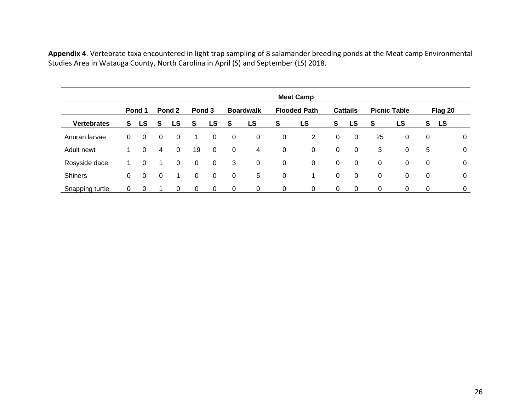**Appendix 4**. Vertebrate taxa encountered in light trap sampling of 8 salamander breeding ponds at the Meat camp Environmental Studies Area in Watauga County, North Carolina in April (S) and September (LS) 2018.

|                    | <b>Meat Camp</b> |                |                |          |                |             |             |                  |                |                     |             |                 |             |                     |    |         |                |
|--------------------|------------------|----------------|----------------|----------|----------------|-------------|-------------|------------------|----------------|---------------------|-------------|-----------------|-------------|---------------------|----|---------|----------------|
|                    |                  | Pond 1         |                | Pond 2   | Pond 3         |             |             | <b>Boardwalk</b> |                | <b>Flooded Path</b> |             | <b>Cattails</b> |             | <b>Picnic Table</b> |    | Flag 20 |                |
| <b>Vertebrates</b> | S.               | LS             | -S             | LS       | S              | LS          | <b>S</b>    | <b>LS</b>        | S              | LS                  | S           | <b>LS</b>       | <b>S</b>    | LS                  | S. | LS      |                |
| Anuran larvae      | 0                | $\overline{0}$ | $\mathbf 0$    | 0        | 1.             | $\mathbf 0$ | $\mathbf 0$ | 0                | $\overline{0}$ | $\overline{2}$      | 0           | $\overline{0}$  | 25          | 0                   | 0  |         | $\overline{0}$ |
| Adult newt         | 1                | $\Omega$       | 4              | $\Omega$ | 19             | $\mathbf 0$ | $\mathbf 0$ | 4                | $\overline{0}$ | 0                   | $\mathbf 0$ | $\overline{0}$  | 3           | 0                   | 5  |         | $\mathbf 0$    |
| Rosyside dace      |                  | 0              |                | 0        | $\overline{0}$ | $\mathbf 0$ | 3           | $\overline{0}$   | $\overline{0}$ | $\mathbf 0$         | 0           | $\mathbf 0$     | 0           | 0                   | 0  |         | $\overline{0}$ |
| <b>Shiners</b>     | 0                | $\Omega$       | $\overline{0}$ |          | $\Omega$       | $\mathbf 0$ | 0           | 5                | $\overline{0}$ | 1                   | $\mathbf 0$ | $\mathbf 0$     | $\mathbf 0$ | 0                   | 0  |         | $\overline{0}$ |
| Snapping turtle    | 0                | $\overline{0}$ |                | 0        | $\overline{0}$ | 0           | $\mathbf 0$ | 0                | 0              | 0                   | 0           | 0               | 0           | 0                   | 0  |         | 0              |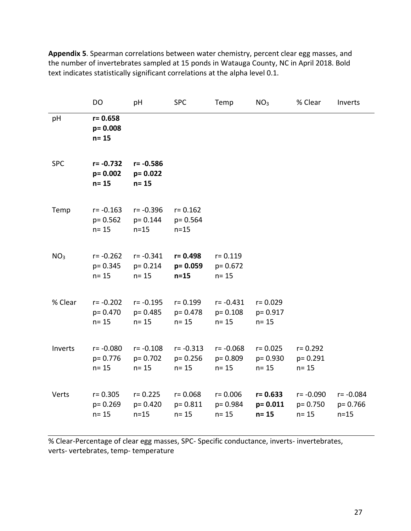|                 | DO                                      | pH                                      | <b>SPC</b>                              | Temp                                    | NO <sub>3</sub>                        | % Clear                                 | Inverts                            |
|-----------------|-----------------------------------------|-----------------------------------------|-----------------------------------------|-----------------------------------------|----------------------------------------|-----------------------------------------|------------------------------------|
| pH              | $r = 0.658$<br>$p = 0.008$<br>$n = 15$  |                                         |                                         |                                         |                                        |                                         |                                    |
| <b>SPC</b>      | $r = -0.732$<br>$p = 0.002$<br>$n = 15$ | $r = -0.586$<br>$p = 0.022$<br>n= 15    |                                         |                                         |                                        |                                         |                                    |
| Temp            | $r = -0.163$<br>$p = 0.562$<br>$n = 15$ | $r = -0.396$<br>$p = 0.144$<br>$n=15$   | $r = 0.162$<br>p= 0.564<br>$n=15$       |                                         |                                        |                                         |                                    |
| NO <sub>3</sub> | $r = -0.262$<br>$p = 0.345$<br>$n = 15$ | $r = -0.341$<br>$p = 0.214$<br>$n = 15$ | r= 0.498<br>$p = 0.059$<br>$n=15$       | $r = 0.119$<br>$p = 0.672$<br>$n = 15$  |                                        |                                         |                                    |
| % Clear         | $r = -0.202$<br>$p = 0.470$<br>$n = 15$ | $r = -0.195$<br>$p = 0.485$<br>$n = 15$ | $r = 0.199$<br>$p = 0.478$<br>$n = 15$  | $r = -0.431$<br>$p = 0.108$<br>$n = 15$ | $r = 0.029$<br>p= 0.917<br>$n = 15$    |                                         |                                    |
| Inverts         | $r = -0.080$<br>$p = 0.776$<br>$n = 15$ | $r = -0.108$<br>$p = 0.702$<br>$n = 15$ | $r = -0.313$<br>$p = 0.256$<br>$n = 15$ | $r = -0.068$<br>$p = 0.809$<br>$n = 15$ | $r = 0.025$<br>p= 0.930<br>$n = 15$    | $r = 0.292$<br>$p = 0.291$<br>$n = 15$  |                                    |
| Verts           | $r = 0.305$<br>$p = 0.269$<br>$n = 15$  | $r = 0.225$<br>$p = 0.420$<br>$n=15$    | $r = 0.068$<br>$p = 0.811$<br>$n = 15$  | $r = 0.006$<br>p= 0.984<br>$n = 15$     | $r = 0.633$<br>$p = 0.011$<br>$n = 15$ | $r = -0.090$<br>$p = 0.750$<br>$n = 15$ | r= -0.084<br>$p = 0.766$<br>$n=15$ |

**Appendix 5**. Spearman correlations between water chemistry, percent clear egg masses, and the number of invertebrates sampled at 15 ponds in Watauga County, NC in April 2018. Bold text indicates statistically significant correlations at the alpha level 0.1.

% Clear-Percentage of clear egg masses, SPC- Specific conductance, inverts- invertebrates, verts- vertebrates, temp- temperature